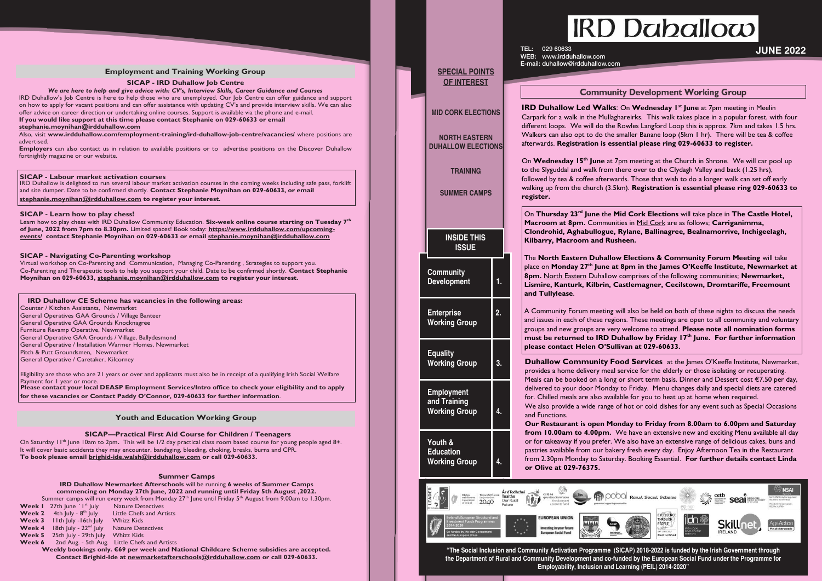allow.com rdduhallow.com

## **Employment and Training Working Group**

## **SICAP - IRD Duhallow Job Centre**

*We are here to help and give advice with: CV's, Interview Skills, Career Guidance and Courses*  IRD Duhallow's Job Centre is here to help those who are unemployed. Our Job Centre can offer guidance and support on how to apply for vacant positions and can offer assistance with updating CV's and provide interview skills. We can also offer advice on career direction or undertaking online courses. Support is available via the phone and e-mail.

## **If you would like support at this time please contact Stephanie on 029-60633 or email**

## **stephanie.moynihan@irdduhallow.com**

Also, visit **www.irdduhallow.com/employment-training/ird-duhallow-job-centre/vacancies/** where positions are advertised.

**Employers** can also contact us in relation to available positions or to advertise positions on the Discover Duhallow fortnightly magazine or our website.

## **Youth and Education Working Group**

## **Summer Camps**

**IRD Duhallow Newmarket Afterschools** will be running **6 weeks of Summer Camps commencing on Monday 27th June, 2022 and running until Friday 5th August ,2022.**  Summer camps will run every week from Monday  $27<sup>th</sup>$  June until Friday  $5<sup>th</sup>$  August from 9.00am to 1.30pm. **Week I** 27th June <sup>- 1st</sup> July Nature Detectives **Week 2** 4th July - 8<sup>th</sup> July Little Chefs and Artists **Week 3** 11th July -16th July Whizz Kids

|                                                                                                                                                                                                                                                                                                                                    | Wookly bookings only £60 nor wook and National Childs      |
|------------------------------------------------------------------------------------------------------------------------------------------------------------------------------------------------------------------------------------------------------------------------------------------------------------------------------------|------------------------------------------------------------|
|                                                                                                                                                                                                                                                                                                                                    | <b>Week 6</b> 2nd Aug. - 5th Aug. Little Chefs and Artists |
| <b>Week 5</b> 25th July - 29th July Whizz Kids                                                                                                                                                                                                                                                                                     |                                                            |
| <b>Week 4</b> 18th July - $22^{nd}$ July Nature Detectives                                                                                                                                                                                                                                                                         |                                                            |
| $\mathbf{v}$ $\mathbf{v}$ $\mathbf{c}$ $\mathbf{v}$ $\mathbf{v}$ $\mathbf{v}$ $\mathbf{v}$ $\mathbf{v}$ $\mathbf{v}$ $\mathbf{v}$ $\mathbf{v}$ $\mathbf{v}$ $\mathbf{v}$ $\mathbf{v}$ $\mathbf{v}$ $\mathbf{v}$ $\mathbf{v}$ $\mathbf{v}$ $\mathbf{v}$ $\mathbf{v}$ $\mathbf{v}$ $\mathbf{v}$ $\mathbf{v}$ $\mathbf{v}$ $\mathbf{$ |                                                            |

On Saturday 11<sup>th</sup> June 10am to 2pm. This will be 1/2 day practical class room based course for young people aged 8+. It will cover basic accidents they may encounter, bandaging, bleeding, choking, breaks, burns and CPR. **To book please email brighid-ide.walsh@irdduhallow.com or call 029-60633.** 

**Weekly bookings only. €69 per week and National Childcare Scheme subsidies are accepted. Contact Brighid-Ide at newmarketafterschools@irdduhallow.com or call 029-60633.**

## **SICAP - Labour market activation courses**

IRD Duhallow is delighted to run several labour market activation courses in the coming weeks including safe pass, forklift and site dumper. Date to be confirmed shortly. **Contact Stephanie Moynihan on 029-60633, or email stephanie.moynihan@irdduhallow.com to register your interest.**

## **IRD Duhallow CE Scheme has vacancies in the following areas:**

"The Social Inclusion and Community Activation Programme (SICAP) 2018-2022 is funded by the Irish Government through the Department of Rural and Community Development and co-funded by the European Social Fund under the Programme for **Employability, Inclusion and Learning (PEIL) 2014-2020"**

# **IRD Daballow**

Counter / Kitchen Assistants, Newmarket General Operatives GAA Grounds / Village Banteer General Operative GAA Grounds Knocknagree Furniture Revamp Operative, Newmarket General Operative GAA Grounds / Village, Ballydesmond General Operative / Installation Warmer Homes, Newmarket Pitch & Putt Groundsmen, Newmarket General Operative / Caretaker, Kilcorney

Eligibility are those who are 21 years or over and applicants must also be in receipt of a qualifying Irish Social Welfare Payment for 1 year or more. **Please contact your local DEASP Employment Services/Intro office to check your eligibility and to apply for these vacancies or Contact Paddy O'Connor, 029-60633 for further information**.

## **SICAP—Practical First Aid Course for Children / Teenagers**

**Our Restaurant is open Monday to Friday from 8.00am to 6.00pm and Saturday to 4.00pm.** We have an extensive new and exciting Menu available all day if you prefer. We also have an extensive range of delicious cakes, buns and from our bakery fresh every day. Enjoy Afternoon Tea in the Restaurant nday to Saturday. Booking Essential. For further details contact Linda

## **SICAP - Navigating Co-Parenting workshop**

Virtual workshop on Co-Parenting and Communication, Managing Co-Parenting , Strategies to support you. Co-Parenting and Therapeutic tools to help you support your child. Date to be confirmed shortly. **Contact Stephanie Moynihan on 029-60633, stephanie.moynihan@irdduhallow.com to register your interest.**

**The Duhallow Elections & Community Forum Meeting will take** place on **Monday 27th June at 8pm in the James O'Keeffe Institute, Newmarket at 8** tern Duhallow comprises of the following communities; **Newmarket, Lismire, Kanturk, Kilbrin, Castlemagner, Cecilstown, Dromtariffe, Freemount** 

## **SICAP - Learn how to play chess!**

rum meeting will also be held on both of these nights to discuss the needs n of these regions. These meetings are open to all community and voluntary groups are very welcome to attend. **Please note all nomination forms must be returned to IRD Duhallow by Friday 17th June. For further information please contact Helen O'Sullivan at 029-60633.** 

**Duhallow Community Food Services** at the James O'Keeffe Institute, Newmarket, delivery meal service for the elderly or those isolating or recuperating. bked on a long or short term basis. Dinner and Dessert cost €7.50 per day, door Monday to Friday. Menu changes daily and special diets are catered for are also available for you to heat up at home when required.

a wide range of hot or cold dishes for any event such as Special Occasions

Learn how to play chess with IRD Duhallow Community Education. **Six-week online course starting on Tuesday 7th of June, 2022 from 7pm to 8.30pm.** Limited spaces! Book today: **https://www.irdduhallow.com/upcomingevents/ contact Stephanie Moynihan on 029-60633 or email stephanie.moynihan@irdduhallow.com**

# **JUNE 2022**

## **Community Development Working Group**

**IRD Duhallow Led Walks:** On Wednesday I<sup>st</sup> June at 7pm meeting in Meelin k in the Mullaghareirks. This walk takes place in a popular forest, with four Ve will do the Rowles Langford Loop this is approx. 7km and takes 1.5 hrs. opt to do the smaller Banane loop (5km 1 hr). There will be tea & coffee **tration is essential please ring 029-60633 to register.** 

On Wednesday 15<sup>th</sup> June at 7pm meeting at the Church in Shrone. We will car pool up nd walk from there over to the Clydagh Valley and back (1.25 hrs), coffee afterwards. Those that wish to do a longer walk can set off early **he church (3.5km). Registration is essential please ring 029-60633 to** 

> $3^{rd}$  June the Mid Cork Elections will take place in The Castle Hotel, **Machtan** Communities in Mid Cork are as follows; **Carriganimma, Clondrohid, Aghabullogue, Rylane, Ballinagree, Bealnamorrive, Inchigeelagh, Rigary Rusheen.**

|  | <b>SPECIAL POINTS</b><br><b>OF INTEREST</b>                                                                                                                                                                                                                                                                                                                                                                                                        |  | TEL:<br>029 60633<br>www.irdduhallow.co<br>WEB:<br>E-mail: duhallow@irdduhallo |                                                                                                                                                                                                                                                                                                                             |  |  |
|--|----------------------------------------------------------------------------------------------------------------------------------------------------------------------------------------------------------------------------------------------------------------------------------------------------------------------------------------------------------------------------------------------------------------------------------------------------|--|--------------------------------------------------------------------------------|-----------------------------------------------------------------------------------------------------------------------------------------------------------------------------------------------------------------------------------------------------------------------------------------------------------------------------|--|--|
|  | <b>MID CORK ELECTIONS</b><br><b>NORTH EASTERN</b><br><b>DUHALLOW ELECTIONS</b><br><b>TRAINING</b><br><b>SUMMER CAMPS</b><br><b>INSIDE THIS</b><br><b>ISSUE</b><br><b>Community</b><br><b>Development</b><br>1.<br><b>Enterprise</b><br>2.<br><b>Working Group</b><br><b>Equality</b><br><b>Working Group</b><br>3.<br><b>Employment</b><br>and Training<br><b>Working Group</b><br>4.<br>Youth &<br><b>Education</b><br><b>Working Group</b><br>4. |  |                                                                                | Comi<br><b>IRD Duhallow Led W</b><br>Carpark for a walk in the I<br>different loops. We will do<br>Walkers can also opt to do<br>afterwards. Registration<br>On Wednesday 15th Jun<br>to the Slyguddal and walk f<br>followed by tea & coffee af<br>walking up from the churcl<br>register.<br>On Thursday 23rd June        |  |  |
|  |                                                                                                                                                                                                                                                                                                                                                                                                                                                    |  |                                                                                | Macroom at 8pm. Com<br>Clondrohid, Aghabullo<br>Kilbarry, Macroom and<br>The North Eastern Dul<br>place on Monday 27 <sup>th</sup> Ju<br>8pm. North Eastern Duh<br>Lismire, Kanturk, Kilbı<br>and Tullylease.<br>A Community Forum mee<br>and issues in each of these<br>groups and new groups ar<br>must be returned to IF |  |  |
|  |                                                                                                                                                                                                                                                                                                                                                                                                                                                    |  |                                                                                |                                                                                                                                                                                                                                                                                                                             |  |  |
|  |                                                                                                                                                                                                                                                                                                                                                                                                                                                    |  |                                                                                |                                                                                                                                                                                                                                                                                                                             |  |  |
|  |                                                                                                                                                                                                                                                                                                                                                                                                                                                    |  |                                                                                | please contact Helen O<br><b>Duhallow Communi</b><br>provides a home delivery<br>Meals can be booked on a                                                                                                                                                                                                                   |  |  |
|  |                                                                                                                                                                                                                                                                                                                                                                                                                                                    |  |                                                                                | delivered to your door M<br>for. Chilled meals are also<br>We also provide a wide r<br>and Functions.<br>Our Restaurant is ope<br>from $10.00am$ to $4.00p$<br>or for takeaway if you pre<br>pastries available from ou<br>from 2.30pm Monday to 9<br>or Olive at 029-76375.                                                |  |  |
|  |                                                                                                                                                                                                                                                                                                                                                                                                                                                    |  |                                                                                |                                                                                                                                                                                                                                                                                                                             |  |  |
|  | DER<br>Ar dTodhchaí<br>Tús<br>scadal Éireann                                                                                                                                                                                                                                                                                                                                                                                                       |  |                                                                                |                                                                                                                                                                                                                                                                                                                             |  |  |